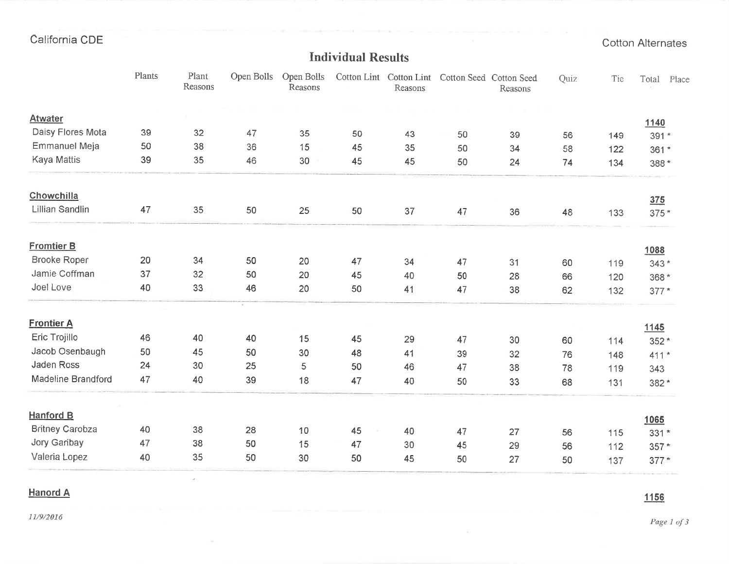## Individual Results

|                        | Plants | Plant<br>Reasons | Open Bolls | Open Bolls<br>Reasons |    | Cotton Lint Cotton Lint<br>Reasons | Cotton Seed Cotton Seed | Reasons | Quiz | Tie | Total<br>Place |
|------------------------|--------|------------------|------------|-----------------------|----|------------------------------------|-------------------------|---------|------|-----|----------------|
| <b>Atwater</b>         |        |                  |            |                       |    |                                    |                         |         |      |     | 1140           |
| Daisy Flores Mota      | 39     | 32               | 47         | 35                    | 50 | 43                                 | 50                      | 39      | 56   | 149 | 391 *          |
| <b>Emmanuel Meja</b>   | 50     | 38               | 36         | 15                    | 45 | 35                                 | 50                      | 34      | 58   | 122 | $361*$         |
| Kaya Mattis            | 39     | 35               | 46         | 30                    | 45 | 45                                 | 50                      | 24      | 74   | 134 | 388 *          |
| Chowchilla             |        |                  |            |                       |    |                                    |                         |         |      |     | 375            |
| Lillian Sandlin        | 47     | 35               | 50         | 25                    | 50 | 37                                 | 47                      | 36      | 48   | 133 | 375 *          |
| <b>Fromtier B</b>      |        |                  |            |                       |    |                                    |                         |         |      |     | 1088           |
| <b>Brooke Roper</b>    | 20     | 34               | 50         | 20                    | 47 | 34                                 | 47                      | 31      | 60   | 119 | $343*$         |
| Jamie Coffman          | 37     | 32               | 50         | 20                    | 45 | 40                                 | 50                      | 28      | 66   | 120 | 368 *          |
| Joel Love              | 40     | 33               | 46         | 20                    | 50 | 41                                 | 47                      | 38      | 62   | 132 | $377*$         |
| <b>Frontier A</b>      |        |                  |            |                       |    |                                    |                         |         |      |     | 1145           |
| Eric Trojillo          | 46     | 40               | 40         | 15                    | 45 | 29                                 | 47                      | 30      | 60   | 114 | 352 *          |
| Jacob Osenbaugh        | 50     | 45               | 50         | 30                    | 48 | 41                                 | 39                      | 32      | 76   | 148 | $411*$         |
| Jaden Ross             | 24     | 30               | 25         | 5                     | 50 | 46                                 | 47                      | 38      | 78   | 119 | 343            |
| Madeline Brandford     | 47     | 40               | 39         | 18                    | 47 | 40                                 | 50                      | 33      | 68   | 131 | 382*           |
| <b>Hanford B</b>       |        |                  |            |                       |    |                                    |                         |         |      |     | 1065           |
| <b>Britney Carobza</b> | 40     | 38               | 28         | 10                    | 45 | 40                                 | 47                      | 27      | 56   | 115 | $331*$         |
| Jory Garibay           | 47     | 38               | 50         | 15                    | 47 | 30                                 | 45                      | 29      | 56   | 112 | 357 *          |
| Valeria Lopez          | 40     | 35               | 50         | 30                    | 50 | 45                                 | 50                      | 27      | 50   | 137 | $377*$         |

## Hanord A

ä,

I 156